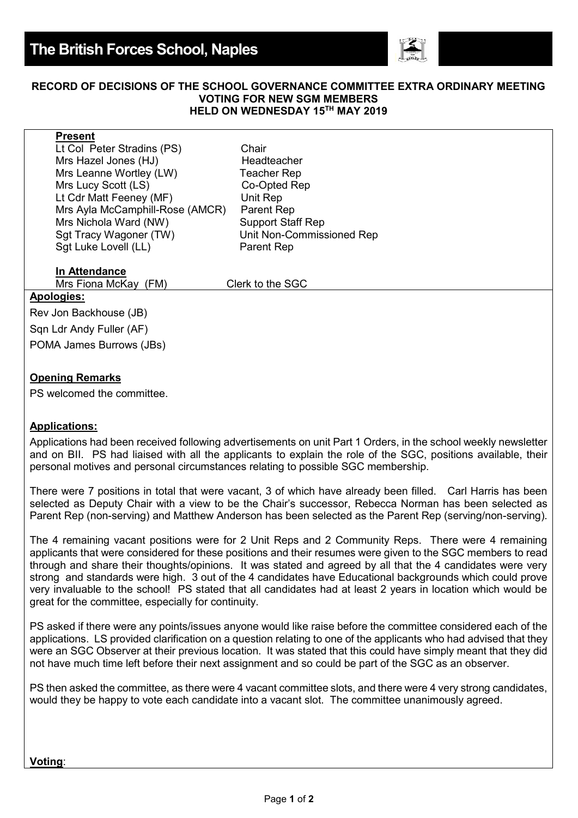

#### **RECORD OF DECISIONS OF THE SCHOOL GOVERNANCE COMMITTEE EXTRA ORDINARY MEETING VOTING FOR NEW SGM MEMBERS HELD ON WEDNESDAY 15TH MAY 2019**

| <b>Present</b>                  |                           |
|---------------------------------|---------------------------|
| Lt Col Peter Stradins (PS)      | Chair                     |
| Mrs Hazel Jones (HJ)            | Headteacher               |
| Mrs Leanne Wortley (LW)         | <b>Teacher Rep</b>        |
| Mrs Lucy Scott (LS)             | Co-Opted Rep              |
| Lt Cdr Matt Feeney (MF)         | Unit Rep                  |
| Mrs Ayla McCamphill-Rose (AMCR) | Parent Rep                |
| Mrs Nichola Ward (NW)           | <b>Support Staff Rep</b>  |
| Sgt Tracy Wagoner (TW)          | Unit Non-Commissioned Rep |
| Sgt Luke Lovell (LL)            | <b>Parent Rep</b>         |
|                                 |                           |

# **In Attendance**

Mrs Fiona McKay (FM) Clerk to the SGC

## **Apologies:**

Rev Jon Backhouse (JB) Sqn Ldr Andy Fuller (AF) POMA James Burrows (JBs)

## **Opening Remarks**

PS welcomed the committee.

#### **Applications:**

Applications had been received following advertisements on unit Part 1 Orders, in the school weekly newsletter and on BII. PS had liaised with all the applicants to explain the role of the SGC, positions available, their personal motives and personal circumstances relating to possible SGC membership.

There were 7 positions in total that were vacant, 3 of which have already been filled. Carl Harris has been selected as Deputy Chair with a view to be the Chair's successor, Rebecca Norman has been selected as Parent Rep (non-serving) and Matthew Anderson has been selected as the Parent Rep (serving/non-serving).

The 4 remaining vacant positions were for 2 Unit Reps and 2 Community Reps. There were 4 remaining applicants that were considered for these positions and their resumes were given to the SGC members to read through and share their thoughts/opinions. It was stated and agreed by all that the 4 candidates were very strong and standards were high. 3 out of the 4 candidates have Educational backgrounds which could prove very invaluable to the school! PS stated that all candidates had at least 2 years in location which would be great for the committee, especially for continuity.

PS asked if there were any points/issues anyone would like raise before the committee considered each of the applications. LS provided clarification on a question relating to one of the applicants who had advised that they were an SGC Observer at their previous location. It was stated that this could have simply meant that they did not have much time left before their next assignment and so could be part of the SGC as an observer.

PS then asked the committee, as there were 4 vacant committee slots, and there were 4 very strong candidates, would they be happy to vote each candidate into a vacant slot. The committee unanimously agreed.